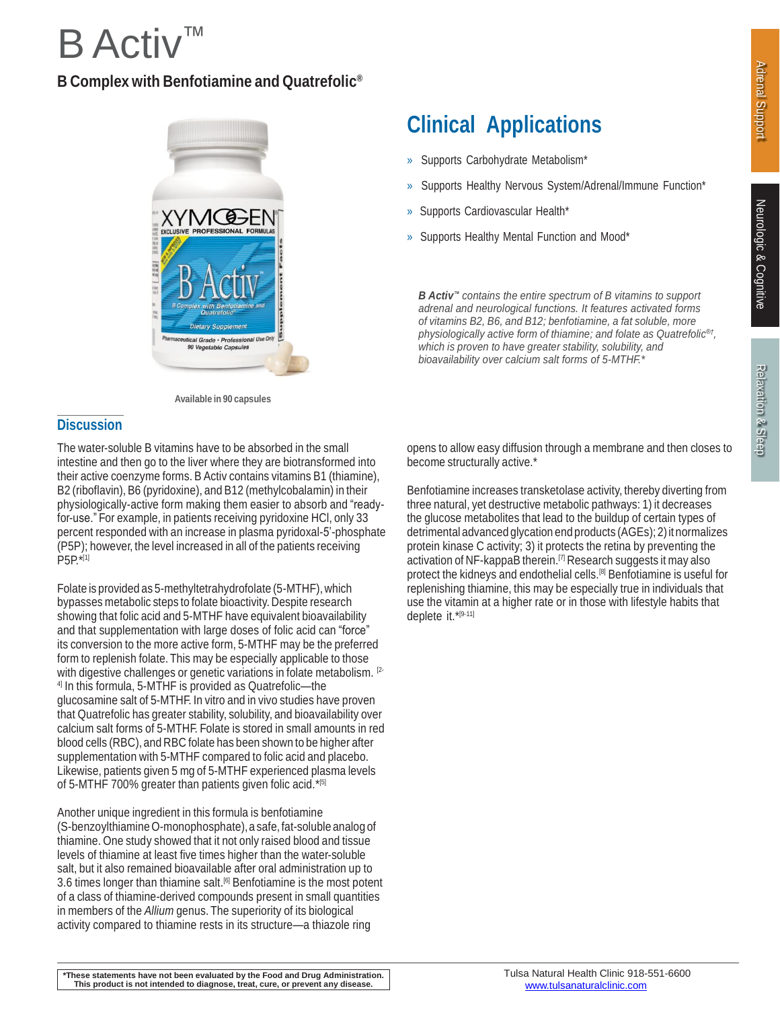# $B$  Act ™

## **B Complex with Benfotiamine and Quatrefolic ®**



**Available in 90 capsules**

### **Discussion**

The water-soluble B vitamins have to be absorbed in the small intestine and then go to the liver where they are biotransformed into their active coenzyme forms. B Activ contains vitamins B1 (thiamine), B2 (riboflavin), B6 (pyridoxine), and B12 (methylcobalamin) in their physiologically-active form making them easier to absorb and "readyfor-use." For example, in patients receiving pyridoxine HCl, only 33 percent responded with an increase in plasma pyridoxal-5'-phosphate (P5P); however, the level increased in all of the patients receiving P5P.\*[1]

Folate is provided as 5-methyltetrahydrofolate (5-MTHF), which bypasses metabolic steps to folate bioactivity. Despite research showing that folic acid and 5-MTHF have equivalent bioavailability and that supplementation with large doses of folic acid can "force" its conversion to the more active form, 5-MTHF may be the preferred form to replenish folate. This may be especially applicable to those with digestive challenges or genetic variations in folate metabolism. <sup>[2-</sup> 4] In this formula, 5-MTHF is provided as Quatrefolic—the glucosamine salt of 5-MTHF. In vitro and in vivo studies have proven that Quatrefolic has greater stability, solubility, and bioavailability over calcium salt forms of 5-MTHF. Folate is stored in small amounts in red blood cells (RBC), and RBC folate has been shown to be higher after supplementation with 5-MTHF compared to folic acid and placebo. Likewise, patients given 5 mg of 5-MTHF experienced plasma levels of 5-MTHF 700% greater than patients given folic acid.\*[5]

Another unique ingredient in this formula is benfotiamine (S-benzoylthiamineO-monophosphate),a safe, fat-soluble analog of thiamine. One study showed that it not only raised blood and tissue levels of thiamine at least five times higher than the water-soluble salt, but it also remained bioavailable after oral administration up to 3.6 times longer than thiamine salt. [6] Benfotiamine is the most potent of a class of thiamine-derived compounds present in small quantities in members of the *Allium* genus. The superiority of its biological activity compared to thiamine rests in its structure—a thiazole ring

opens to allow easy diffusion through a membrane and then closes to become structurally active.\*

**Clinical Applications**

» Supports Healthy Nervous System/Adrenal/Immune Function\*

*B Activ™ contains the entire spectrum of B vitamins to support adrenal and neurological functions. It features activated forms of vitamins B2, B6, and B12; benfotiamine, a fat soluble, more physiologically active form of thiamine; and folate as Quatrefolic ®† ,*

*which is proven to have greater stability, solubility, and bioavailability over calcium salt forms of 5-MTHF.\**

» Supports Carbohydrate Metabolism\*

» Supports Cardiovascular Health\*

» Supports Healthy Mental Function and Mood\*

Benfotiamine increases transketolase activity, thereby diverting from three natural, yet destructive metabolic pathways: 1) it decreases the glucose metabolites that lead to the buildup of certain types of detrimental advanced glycation end products (AGEs); 2)it normalizes protein kinase C activity; 3) it protects the retina by preventing the activation of NF-kappaB therein. [7] Research suggests it may also protect the kidneys and endothelial cells.[8] Benfotiamine is useful for replenishing thiamine, this may be especially true in individuals that use the vitamin at a higher rate or in those with lifestyle habits that deplete it.\* [9-11]